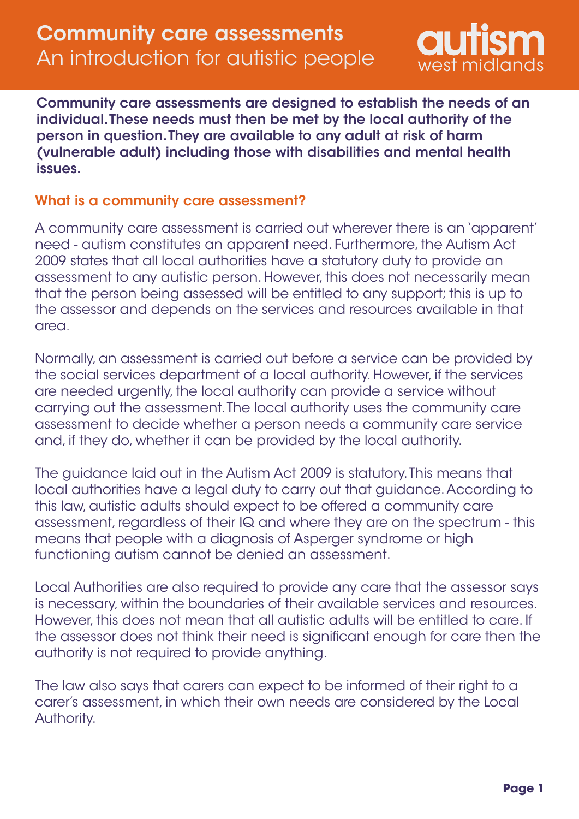

Community care assessments are designed to establish the needs of an individual. These needs must then be met by the local authority of the person in question. They are available to any adult at risk of harm (vulnerable adult) including those with disabilities and mental health issues.

### What is a community care assessment?

A community care assessment is carried out wherever there is an 'apparent' need - autism constitutes an apparent need. Furthermore, the Autism Act 2009 states that all local authorities have a statutory duty to provide an assessment to any autistic person. However, this does not necessarily mean that the person being assessed will be entitled to any support; this is up to the assessor and depends on the services and resources available in that area.

Normally, an assessment is carried out before a service can be provided by the social services department of a local authority. However, if the services are needed urgently, the local authority can provide a service without carrying out the assessment. The local authority uses the community care assessment to decide whether a person needs a community care service and, if they do, whether it can be provided by the local authority.

The guidance laid out in the Autism Act 2009 is statutory. This means that local authorities have a legal duty to carry out that guidance. According to this law, autistic adults should expect to be offered a community care assessment, regardless of their IQ and where they are on the spectrum - this means that people with a diagnosis of Asperger syndrome or high functioning autism cannot be denied an assessment.

Local Authorities are also required to provide any care that the assessor says is necessary, within the boundaries of their available services and resources. However, this does not mean that all autistic adults will be entitled to care. If the assessor does not think their need is significant enough for care then the authority is not required to provide anything.

The law also says that carers can expect to be informed of their right to a carer's assessment, in which their own needs are considered by the Local Authority.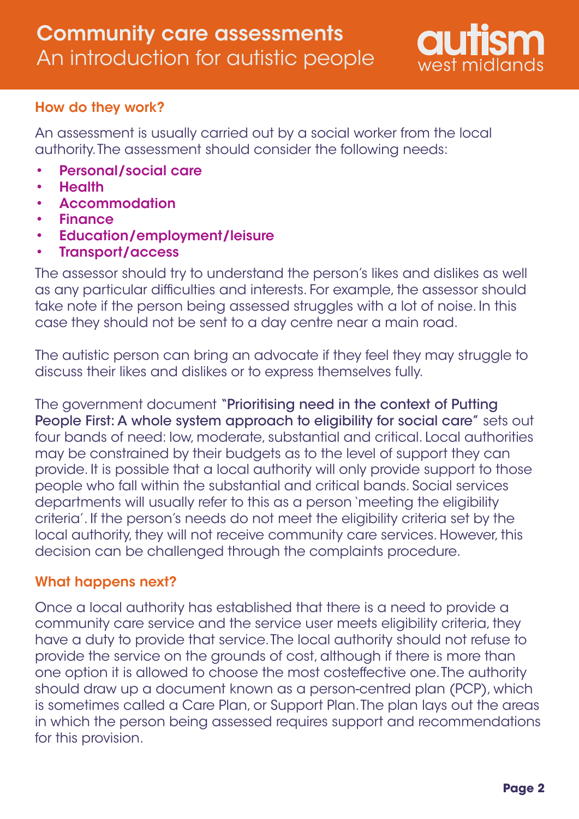

# How do they work?

An assessment is usually carried out by a social worker from the local authority. The assessment should consider the following needs:

- Personal/social care •
- **Health** •
- Accommodation •
- Finance •
- Education/employment/leisure •
- Transport/access •

The assessor should try to understand the person's likes and dislikes as well as any particular difficulties and interests. For example, the assessor should take note if the person being assessed struggles with a lot of noise. In this case they should not be sent to a day centre near a main road.

The autistic person can bring an advocate if they feel they may struggle to discuss their likes and dislikes or to express themselves fully.

The government document "Prioritising need in the context of Putting People First: A whole system approach to eligibility for social care" sets out four bands of need: low, moderate, substantial and critical. Local authorities may be constrained by their budgets as to the level of support they can provide. It is possible that a local authority will only provide support to those people who fall within the substantial and critical bands. Social services departments will usually refer to this as a person 'meeting the eligibility criteria'. If the person's needs do not meet the eligibility criteria set by the local authority, they will not receive community care services. However, this decision can be challenged through the complaints procedure.

# What happens next?

Once a local authority has established that there is a need to provide a community care service and the service user meets eligibility criteria, they have a duty to provide that service. The local authority should not refuse to provide the service on the grounds of cost, although if there is more than one option it is allowed to choose the most costeffective one. The authority should draw up a document known as a person-centred plan (PCP), which is sometimes called a Care Plan, or Support Plan. The plan lays out the areas in which the person being assessed requires support and recommendations for this provision.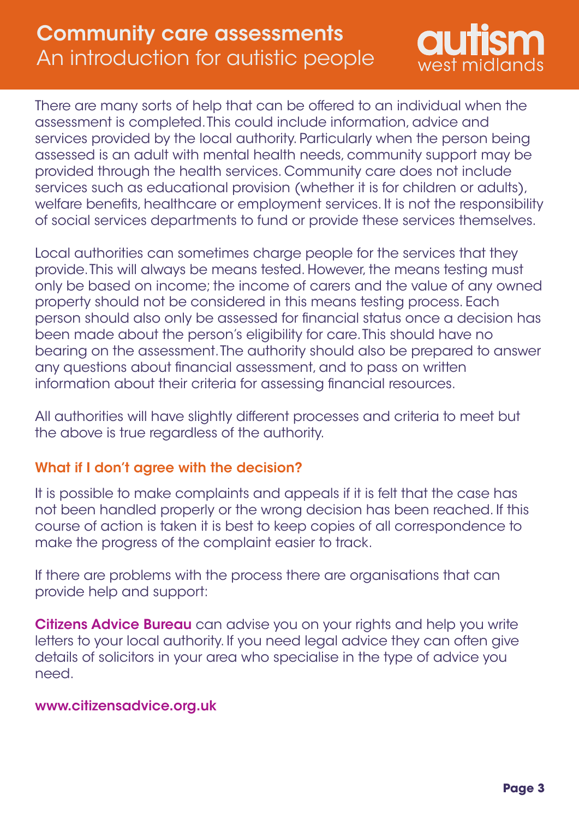# Community care assessments An introduction for autistic people



There are many sorts of help that can be offered to an individual when the assessment is completed. This could include information, advice and services provided by the local authority. Particularly when the person being assessed is an adult with mental health needs, community support may be provided through the health services. Community care does not include services such as educational provision (whether it is for children or adults), welfare benefits, healthcare or employment services. It is not the responsibility of social services departments to fund or provide these services themselves.

Local authorities can sometimes charge people for the services that they provide. This will always be means tested. However, the means testing must only be based on income; the income of carers and the value of any owned property should not be considered in this means testing process. Each person should also only be assessed for financial status once a decision has been made about the person's eligibility for care. This should have no bearing on the assessment. The authority should also be prepared to answer any questions about financial assessment, and to pass on written information about their criteria for assessing financial resources.

All authorities will have slightly different processes and criteria to meet but the above is true regardless of the authority.

# What if I don't agree with the decision?

It is possible to make complaints and appeals if it is felt that the case has not been handled properly or the wrong decision has been reached. If this course of action is taken it is best to keep copies of all correspondence to make the progress of the complaint easier to track.

If there are problems with the process there are organisations that can provide help and support:

Citizens Advice Bureau can advise you on your rights and help you write letters to your local authority. If you need legal advice they can often give details of solicitors in your area who specialise in the type of advice you need.

#### [www.citizensadvice.org.uk](https://www.citizensadvice.org.uk)